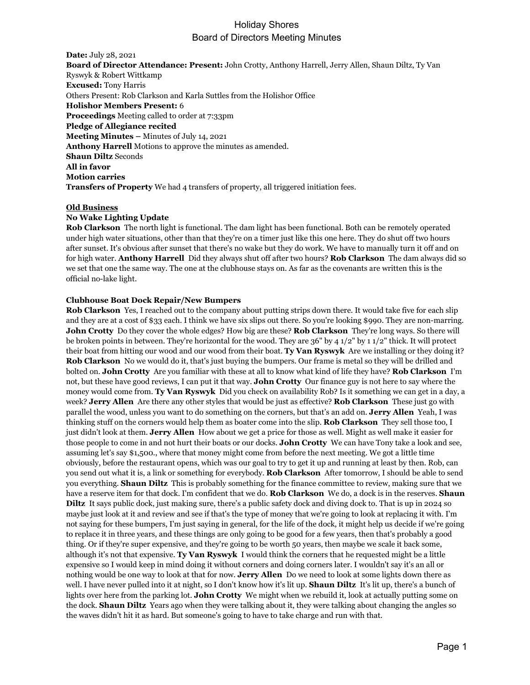**Date:** July 28, 2021 **Board of Director Attendance: Present:** John Crotty, Anthony Harrell, Jerry Allen, Shaun Diltz, Ty Van Ryswyk & Robert Wittkamp **Excused:** Tony Harris Others Present: Rob Clarkson and Karla Suttles from the Holishor Office **Holishor Members Present:** 6 **Proceedings** Meeting called to order at 7:33pm **Pledge of Allegiance recited Meeting Minutes –** Minutes of July 14, 2021 **Anthony Harrell** Motions to approve the minutes as amended. **Shaun Diltz** Seconds **All in favor Motion carries Transfers of Property** We had 4 transfers of property, all triggered initiation fees.

### **Old Business**

### **No Wake Lighting Update**

**Rob Clarkson** The north light is functional. The dam light has been functional. Both can be remotely operated under high water situations, other than that they're on a timer just like this one here. They do shut off two hours after sunset. It's obvious after sunset that there's no wake but they do work. We have to manually turn it off and on for high water. **Anthony Harrell** Did they always shut off after two hours? **Rob Clarkson** The dam always did so we set that one the same way. The one at the clubhouse stays on. As far as the covenants are written this is the official no-lake light.

### **Clubhouse Boat Dock Repair/New Bumpers**

**Rob Clarkson** Yes, I reached out to the company about putting strips down there. It would take five for each slip and they are at a cost of \$33 each. I think we have six slips out there. So you're looking \$990. They are non-marring. **John Crotty** Do they cover the whole edges? How big are these? **Rob Clarkson** They're long ways. So there will be broken points in between. They're horizontal for the wood. They are 36" by 4 1/2" by 1 1/2" thick. It will protect their boat from hitting our wood and our wood from their boat. **Ty Van Ryswyk** Are we installing or they doing it? **Rob Clarkson** No we would do it, that's just buying the bumpers. Our frame is metal so they will be drilled and bolted on. **John Crotty** Are you familiar with these at all to know what kind of life they have? **Rob Clarkson** I'm not, but these have good reviews, I can put it that way. **John Crotty** Our finance guy is not here to say where the money would come from. **Ty Van Ryswyk** Did you check on availability Rob? Is it something we can get in a day, a week? **Jerry Allen** Are there any other styles that would be just as effective? **Rob Clarkson** These just go with parallel the wood, unless you want to do something on the corners, but that's an add on. **Jerry Allen** Yeah, I was thinking stuff on the corners would help them as boater come into the slip. **Rob Clarkson** They sell those too, I just didn't look at them. **Jerry Allen** How about we get a price for those as well. Might as well make it easier for those people to come in and not hurt their boats or our docks. **John Crotty** We can have Tony take a look and see, assuming let's say \$1,500., where that money might come from before the next meeting. We got a little time obviously, before the restaurant opens, which was our goal to try to get it up and running at least by then. Rob, can you send out what it is, a link or something for everybody. **Rob Clarkson** After tomorrow, I should be able to send you everything. **Shaun Diltz** This is probably something for the finance committee to review, making sure that we have a reserve item for that dock. I'm confident that we do. **Rob Clarkson** We do, a dock is in the reserves. **Shaun Diltz** It says public dock, just making sure, there's a public safety dock and diving dock to. That is up in 2024 so maybe just look at it and review and see if that's the type of money that we're going to look at replacing it with. I'm not saying for these bumpers, I'm just saying in general, for the life of the dock, it might help us decide if we're going to replace it in three years, and these things are only going to be good for a few years, then that's probably a good thing. Or if they're super expensive, and they're going to be worth 50 years, then maybe we scale it back some, although it's not that expensive. **Ty Van Ryswyk** I would think the corners that he requested might be a little expensive so I would keep in mind doing it without corners and doing corners later. I wouldn't say it's an all or nothing would be one way to look at that for now. **Jerry Allen** Do we need to look at some lights down there as well. I have never pulled into it at night, so I don't know how it's lit up. **Shaun Diltz** It's lit up, there's a bunch of lights over here from the parking lot. **John Crotty** We might when we rebuild it, look at actually putting some on the dock. **Shaun Diltz** Years ago when they were talking about it, they were talking about changing the angles so the waves didn't hit it as hard. But someone's going to have to take charge and run with that.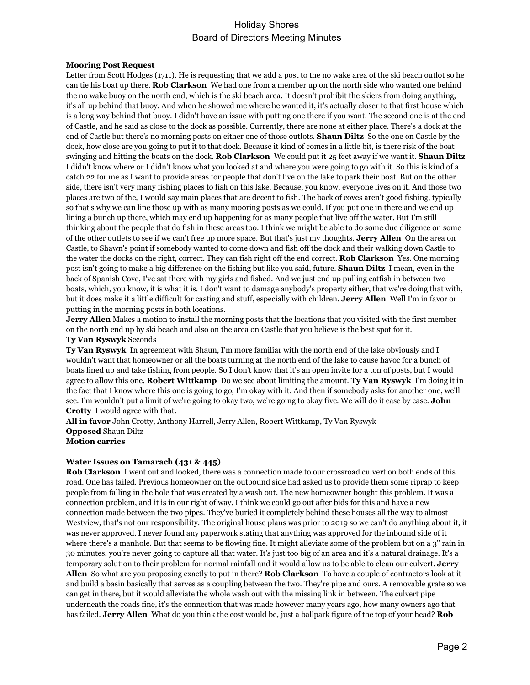### **Mooring Post Request**

Letter from Scott Hodges (1711). He is requesting that we add a post to the no wake area of the ski beach outlot so he can tie his boat up there. **Rob Clarkson** We had one from a member up on the north side who wanted one behind the no wake buoy on the north end, which is the ski beach area. It doesn't prohibit the skiers from doing anything, it's all up behind that buoy. And when he showed me where he wanted it, it's actually closer to that first house which is a long way behind that buoy. I didn't have an issue with putting one there if you want. The second one is at the end of Castle, and he said as close to the dock as possible. Currently, there are none at either place. There's a dock at the end of Castle but there's no morning posts on either one of those outlots. **Shaun Diltz** So the one on Castle by the dock, how close are you going to put it to that dock. Because it kind of comes in a little bit, is there risk of the boat swinging and hitting the boats on the dock. **Rob Clarkson** We could put it 25 feet away if we want it. **Shaun Diltz**  I didn't know where or I didn't know what you looked at and where you were going to go with it. So this is kind of a catch 22 for me as I want to provide areas for people that don't live on the lake to park their boat. But on the other side, there isn't very many fishing places to fish on this lake. Because, you know, everyone lives on it. And those two places are two of the, I would say main places that are decent to fish. The back of coves aren't good fishing, typically so that's why we can line those up with as many mooring posts as we could. If you put one in there and we end up lining a bunch up there, which may end up happening for as many people that live off the water. But I'm still thinking about the people that do fish in these areas too. I think we might be able to do some due diligence on some of the other outlets to see if we can't free up more space. But that's just my thoughts. **Jerry Allen** On the area on Castle, to Shawn's point if somebody wanted to come down and fish off the dock and their walking down Castle to the water the docks on the right, correct. They can fish right off the end correct. **Rob Clarkson** Yes. One morning post isn't going to make a big difference on the fishing but like you said, future. **Shaun Diltz** I mean, even in the back of Spanish Cove, I've sat there with my girls and fished. And we just end up pulling catfish in between two boats, which, you know, it is what it is. I don't want to damage anybody's property either, that we're doing that with, but it does make it a little difficult for casting and stuff, especially with children. **Jerry Allen** Well I'm in favor or putting in the morning posts in both locations.

**Jerry Allen** Makes a motion to install the morning posts that the locations that you visited with the first member on the north end up by ski beach and also on the area on Castle that you believe is the best spot for it.

#### **Ty Van Ryswyk** Seconds

**Ty Van Ryswyk** In agreement with Shaun, I'm more familiar with the north end of the lake obviously and I wouldn't want that homeowner or all the boats turning at the north end of the lake to cause havoc for a bunch of boats lined up and take fishing from people. So I don't know that it's an open invite for a ton of posts, but I would agree to allow this one. **Robert Wittkamp** Do we see about limiting the amount. **Ty Van Ryswyk** I'm doing it in the fact that I know where this one is going to go, I'm okay with it. And then if somebody asks for another one, we'll see. I'm wouldn't put a limit of we're going to okay two, we're going to okay five. We will do it case by case. **John Crotty** I would agree with that.

**All in favor** John Crotty, Anthony Harrell, Jerry Allen, Robert Wittkamp, Ty Van Ryswyk **Opposed** Shaun Diltz **Motion carries**

#### **Water Issues on Tamarach (431 & 445)**

**Rob Clarkson** I went out and looked, there was a connection made to our crossroad culvert on both ends of this road. One has failed. Previous homeowner on the outbound side had asked us to provide them some riprap to keep people from falling in the hole that was created by a wash out. The new homeowner bought this problem. It was a connection problem, and it is in our right of way. I think we could go out after bids for this and have a new connection made between the two pipes. They've buried it completely behind these houses all the way to almost Westview, that's not our responsibility. The original house plans was prior to 2019 so we can't do anything about it, it was never approved. I never found any paperwork stating that anything was approved for the inbound side of it where there's a manhole. But that seems to be flowing fine. It might alleviate some of the problem but on a 3" rain in 30 minutes, you're never going to capture all that water. It's just too big of an area and it's a natural drainage. It's a temporary solution to their problem for normal rainfall and it would allow us to be able to clean our culvert. **Jerry Allen** So what are you proposing exactly to put in there? **Rob Clarkson** To have a couple of contractors look at it and build a basin basically that serves as a coupling between the two. They're pipe and ours. A removable grate so we can get in there, but it would alleviate the whole wash out with the missing link in between. The culvert pipe underneath the roads fine, it's the connection that was made however many years ago, how many owners ago that has failed. **Jerry Allen** What do you think the cost would be, just a ballpark figure of the top of your head? **Rob**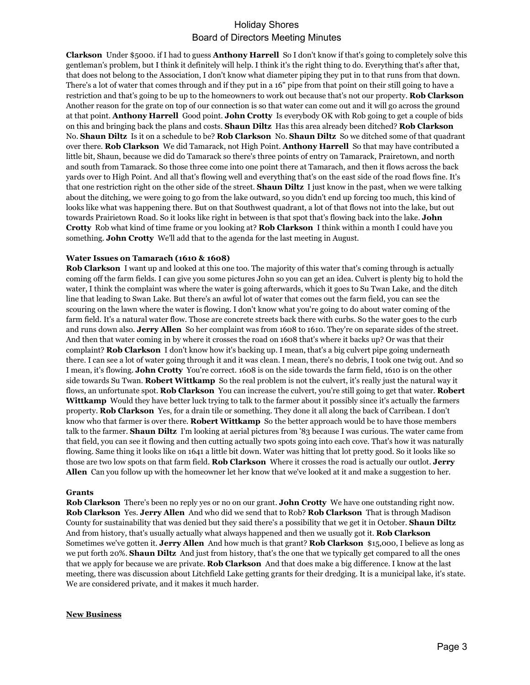**Clarkson** Under \$5000. if I had to guess **Anthony Harrell** So I don't know if that's going to completely solve this gentleman's problem, but I think it definitely will help. I think it's the right thing to do. Everything that's after that, that does not belong to the Association, I don't know what diameter piping they put in to that runs from that down. There's a lot of water that comes through and if they put in a 16" pipe from that point on their still going to have a restriction and that's going to be up to the homeowners to work out because that's not our property. **Rob Clarkson**  Another reason for the grate on top of our connection is so that water can come out and it will go across the ground at that point. **Anthony Harrell** Good point. **John Crotty** Is everybody OK with Rob going to get a couple of bids on this and bringing back the plans and costs. **Shaun Diltz** Has this area already been ditched? **Rob Clarkson**  No. **Shaun Diltz** Is it on a schedule to be? **Rob Clarkson** No. **Shaun Diltz** So we ditched some of that quadrant over there. **Rob Clarkson** We did Tamarack, not High Point. **Anthony Harrell** So that may have contributed a little bit, Shaun, because we did do Tamarack so there's three points of entry on Tamarack, Prairetown, and north and south from Tamarack. So those three come into one point there at Tamarach, and then it flows across the back yards over to High Point. And all that's flowing well and everything that's on the east side of the road flows fine. It's that one restriction right on the other side of the street. **Shaun Diltz** I just know in the past, when we were talking about the ditching, we were going to go from the lake outward, so you didn't end up forcing too much, this kind of looks like what was happening there. But on that Southwest quadrant, a lot of that flows not into the lake, but out towards Prairietown Road. So it looks like right in between is that spot that's flowing back into the lake. **John Crotty** Rob what kind of time frame or you looking at? **Rob Clarkson** I think within a month I could have you something. **John Crotty** We'll add that to the agenda for the last meeting in August.

### **Water Issues on Tamarach (1610 & 1608)**

**Rob Clarkson** I want up and looked at this one too. The majority of this water that's coming through is actually coming off the farm fields. I can give you some pictures John so you can get an idea. Culvert is plenty big to hold the water, I think the complaint was where the water is going afterwards, which it goes to Su Twan Lake, and the ditch line that leading to Swan Lake. But there's an awful lot of water that comes out the farm field, you can see the scouring on the lawn where the water is flowing. I don't know what you're going to do about water coming of the farm field. It's a natural water flow. Those are concrete streets back there with curbs. So the water goes to the curb and runs down also. **Jerry Allen** So her complaint was from 1608 to 1610. They're on separate sides of the street. And then that water coming in by where it crosses the road on 1608 that's where it backs up? Or was that their complaint? **Rob Clarkson** I don't know how it's backing up. I mean, that's a big culvert pipe going underneath there. I can see a lot of water going through it and it was clean. I mean, there's no debris, I took one twig out. And so I mean, it's flowing. **John Crotty** You're correct. 1608 is on the side towards the farm field, 1610 is on the other side towards Su Twan. **Robert Wittkamp** So the real problem is not the culvert, it's really just the natural way it flows, an unfortunate spot. **Rob Clarkson** You can increase the culvert, you're still going to get that water. **Robert Wittkamp** Would they have better luck trying to talk to the farmer about it possibly since it's actually the farmers property. **Rob Clarkson** Yes, for a drain tile or something. They done it all along the back of Carribean. I don't know who that farmer is over there. **Robert Wittkamp** So the better approach would be to have those members talk to the farmer. **Shaun Diltz** I'm looking at aerial pictures from '83 because I was curious. The water came from that field, you can see it flowing and then cutting actually two spots going into each cove. That's how it was naturally flowing. Same thing it looks like on 1641 a little bit down. Water was hitting that lot pretty good. So it looks like so those are two low spots on that farm field. **Rob Clarkson** Where it crosses the road is actually our outlot. **Jerry Allen** Can you follow up with the homeowner let her know that we've looked at it and make a suggestion to her.

#### **Grants**

**Rob Clarkson** There's been no reply yes or no on our grant. **John Crotty** We have one outstanding right now. **Rob Clarkson** Yes. **Jerry Allen** And who did we send that to Rob? **Rob Clarkson** That is through Madison County for sustainability that was denied but they said there's a possibility that we get it in October. **Shaun Diltz**  And from history, that's usually actually what always happened and then we usually got it. **Rob Clarkson**  Sometimes we've gotten it. **Jerry Allen** And how much is that grant? **Rob Clarkson** \$15,000, I believe as long as we put forth 20%. **Shaun Diltz** And just from history, that's the one that we typically get compared to all the ones that we apply for because we are private. **Rob Clarkson** And that does make a big difference. I know at the last meeting, there was discussion about Litchfield Lake getting grants for their dredging. It is a municipal lake, it's state. We are considered private, and it makes it much harder.

#### **New Business**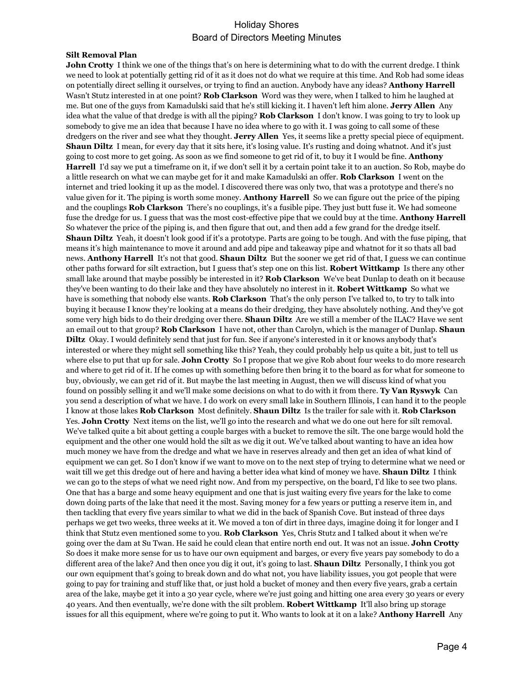#### **Silt Removal Plan**

**John Crotty** I think we one of the things that's on here is determining what to do with the current dredge. I think we need to look at potentially getting rid of it as it does not do what we require at this time. And Rob had some ideas on potentially direct selling it ourselves, or trying to find an auction. Anybody have any ideas? **Anthony Harrell**  Wasn't Stutz interested in at one point? **Rob Clarkson** Word was they were, when I talked to him he laughed at me. But one of the guys from Kamadulski said that he's still kicking it. I haven't left him alone. **Jerry Allen** Any idea what the value of that dredge is with all the piping? **Rob Clarkson** I don't know. I was going to try to look up somebody to give me an idea that because I have no idea where to go with it. I was going to call some of these dredgers on the river and see what they thought. **Jerry Allen** Yes, it seems like a pretty special piece of equipment. **Shaun Diltz** I mean, for every day that it sits here, it's losing value. It's rusting and doing whatnot. And it's just going to cost more to get going. As soon as we find someone to get rid of it, to buy it I would be fine. **Anthony Harrell** I'd say we put a timeframe on it, if we don't sell it by a certain point take it to an auction. So Rob, maybe do a little research on what we can maybe get for it and make Kamadulski an offer. **Rob Clarkson** I went on the internet and tried looking it up as the model. I discovered there was only two, that was a prototype and there's no value given for it. The piping is worth some money. **Anthony Harrell** So we can figure out the price of the piping and the couplings **Rob Clarkson** There's no couplings, it's a fusible pipe. They just butt fuse it. We had someone fuse the dredge for us. I guess that was the most cost-effective pipe that we could buy at the time. **Anthony Harrell**  So whatever the price of the piping is, and then figure that out, and then add a few grand for the dredge itself. **Shaun Diltz** Yeah, it doesn't look good if it's a prototype. Parts are going to be tough. And with the fuse piping, that means it's high maintenance to move it around and add pipe and takeaway pipe and whatnot for it so thats all bad news. **Anthony Harrell** It's not that good. **Shaun Diltz** But the sooner we get rid of that, I guess we can continue other paths forward for silt extraction, but I guess that's step one on this list. **Robert Wittkamp** Is there any other small lake around that maybe possibly be interested in it? **Rob Clarkson** We've beat Dunlap to death on it because they've been wanting to do their lake and they have absolutely no interest in it. **Robert Wittkamp** So what we have is something that nobody else wants. **Rob Clarkson** That's the only person I've talked to, to try to talk into buying it because I know they're looking at a means do their dredging, they have absolutely nothing. And they've got some very high bids to do their dredging over there. **Shaun Diltz** Are we still a member of the ILAC? Have we sent an email out to that group? **Rob Clarkson** I have not, other than Carolyn, which is the manager of Dunlap. **Shaun Diltz** Okay. I would definitely send that just for fun. See if anyone's interested in it or knows anybody that's interested or where they might sell something like this? Yeah, they could probably help us quite a bit, just to tell us where else to put that up for sale. **John Crotty** So I propose that we give Rob about four weeks to do more research and where to get rid of it. If he comes up with something before then bring it to the board as for what for someone to buy, obviously, we can get rid of it. But maybe the last meeting in August, then we will discuss kind of what you found on possibly selling it and we'll make some decisions on what to do with it from there. **Ty Van Ryswyk** Can you send a description of what we have. I do work on every small lake in Southern Illinois, I can hand it to the people I know at those lakes **Rob Clarkson** Most definitely. **Shaun Diltz** Is the trailer for sale with it. **Rob Clarkson**  Yes. **John Crotty** Next items on the list, we'll go into the research and what we do one out here for silt removal. We've talked quite a bit about getting a couple barges with a bucket to remove the silt. The one barge would hold the equipment and the other one would hold the silt as we dig it out. We've talked about wanting to have an idea how much money we have from the dredge and what we have in reserves already and then get an idea of what kind of equipment we can get. So I don't know if we want to move on to the next step of trying to determine what we need or wait till we get this dredge out of here and having a better idea what kind of money we have. **Shaun Diltz** I think we can go to the steps of what we need right now. And from my perspective, on the board, I'd like to see two plans. One that has a barge and some heavy equipment and one that is just waiting every five years for the lake to come down doing parts of the lake that need it the most. Saving money for a few years or putting a reserve item in, and then tackling that every five years similar to what we did in the back of Spanish Cove. But instead of three days perhaps we get two weeks, three weeks at it. We moved a ton of dirt in three days, imagine doing it for longer and I think that Stutz even mentioned some to you. **Rob Clarkson** Yes, Chris Stutz and I talked about it when we're going over the dam at Su Twan. He said he could clean that entire north end out. It was not an issue. **John Crotty**  So does it make more sense for us to have our own equipment and barges, or every five years pay somebody to do a different area of the lake? And then once you dig it out, it's going to last. **Shaun Diltz** Personally, I think you got our own equipment that's going to break down and do what not, you have liability issues, you got people that were going to pay for training and stuff like that, or just hold a bucket of money and then every five years, grab a certain area of the lake, maybe get it into a 30 year cycle, where we're just going and hitting one area every 30 years or every 40 years. And then eventually, we're done with the silt problem. **Robert Wittkamp** It'll also bring up storage issues for all this equipment, where we're going to put it. Who wants to look at it on a lake? **Anthony Harrell** Any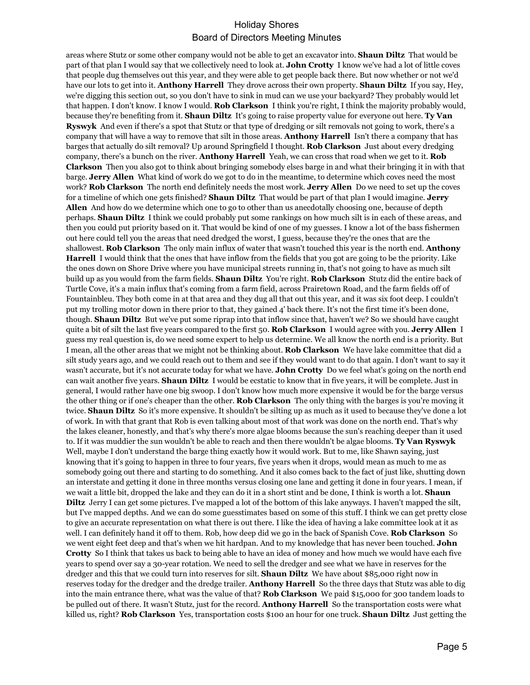areas where Stutz or some other company would not be able to get an excavator into. **Shaun Diltz** That would be part of that plan I would say that we collectively need to look at. **John Crotty** I know we've had a lot of little coves that people dug themselves out this year, and they were able to get people back there. But now whether or not we'd have our lots to get into it. **Anthony Harrell** They drove across their own property. **Shaun Diltz** If you say, Hey, we're digging this section out, so you don't have to sink in mud can we use your backyard? They probably would let that happen. I don't know. I know I would. **Rob Clarkson** I think you're right, I think the majority probably would, because they're benefiting from it. **Shaun Diltz** It's going to raise property value for everyone out here. **Ty Van Ryswyk** And even if there's a spot that Stutz or that type of dredging or silt removals not going to work, there's a company that will have a way to remove that silt in those areas. **Anthony Harrell** Isn't there a company that has barges that actually do silt removal? Up around Springfield I thought. **Rob Clarkson** Just about every dredging company, there's a bunch on the river. **Anthony Harrell** Yeah, we can cross that road when we get to it. **Rob Clarkson** Then you also got to think about bringing somebody elses barge in and what their bringing it in with that barge. **Jerry Allen** What kind of work do we got to do in the meantime, to determine which coves need the most work? **Rob Clarkson** The north end definitely needs the most work. **Jerry Allen** Do we need to set up the coves for a timeline of which one gets finished? **Shaun Diltz** That would be part of that plan I would imagine. **Jerry Allen** And how do we determine which one to go to other than us anecdotally choosing one, because of depth perhaps. **Shaun Diltz** I think we could probably put some rankings on how much silt is in each of these areas, and then you could put priority based on it. That would be kind of one of my guesses. I know a lot of the bass fishermen out here could tell you the areas that need dredged the worst, I guess, because they're the ones that are the shallowest. **Rob Clarkson** The only main influx of water that wasn't touched this year is the north end. **Anthony Harrell** I would think that the ones that have inflow from the fields that you got are going to be the priority. Like the ones down on Shore Drive where you have municipal streets running in, that's not going to have as much silt build up as you would from the farm fields. **Shaun Diltz** You're right. **Rob Clarkson** Stutz did the entire back of Turtle Cove, it's a main influx that's coming from a farm field, across Prairetown Road, and the farm fields off of Fountainbleu. They both come in at that area and they dug all that out this year, and it was six foot deep. I couldn't put my trolling motor down in there prior to that, they gained 4' back there. It's not the first time it's been done, though. **Shaun Diltz** But we've put some riprap into that inflow since that, haven't we? So we should have caught quite a bit of silt the last five years compared to the first 50. **Rob Clarkson** I would agree with you. **Jerry Allen** I guess my real question is, do we need some expert to help us determine. We all know the north end is a priority. But I mean, all the other areas that we might not be thinking about. **Rob Clarkson** We have lake committee that did a silt study years ago, and we could reach out to them and see if they would want to do that again. I don't want to say it wasn't accurate, but it's not accurate today for what we have. **John Crotty** Do we feel what's going on the north end can wait another five years. **Shaun Diltz** I would be ecstatic to know that in five years, it will be complete. Just in general, I would rather have one big swoop. I don't know how much more expensive it would be for the barge versus the other thing or if one's cheaper than the other. **Rob Clarkson** The only thing with the barges is you're moving it twice. **Shaun Diltz** So it's more expensive. It shouldn't be silting up as much as it used to because they've done a lot of work. In with that grant that Rob is even talking about most of that work was done on the north end. That's why the lakes cleaner, honestly, and that's why there's more algae blooms because the sun's reaching deeper than it used to. If it was muddier the sun wouldn't be able to reach and then there wouldn't be algae blooms. **Ty Van Ryswyk**  Well, maybe I don't understand the barge thing exactly how it would work. But to me, like Shawn saying, just knowing that it's going to happen in three to four years, five years when it drops, would mean as much to me as somebody going out there and starting to do something. And it also comes back to the fact of just like, shutting down an interstate and getting it done in three months versus closing one lane and getting it done in four years. I mean, if we wait a little bit, dropped the lake and they can do it in a short stint and be done, I think is worth a lot. **Shaun Diltz** Jerry I can get some pictures. I've mapped a lot of the bottom of this lake anyways. I haven't mapped the silt, but I've mapped depths. And we can do some guesstimates based on some of this stuff. I think we can get pretty close to give an accurate representation on what there is out there. I like the idea of having a lake committee look at it as well. I can definitely hand it off to them. Rob, how deep did we go in the back of Spanish Cove. **Rob Clarkson** So we went eight feet deep and that's when we hit hardpan. And to my knowledge that has never been touched. **John Crotty** So I think that takes us back to being able to have an idea of money and how much we would have each five years to spend over say a 30-year rotation. We need to sell the dredger and see what we have in reserves for the dredger and this that we could turn into reserves for silt. **Shaun Diltz** We have about \$85,000 right now in reserves today for the dredger and the dredge trailer. **Anthony Harrell** So the three days that Stutz was able to dig into the main entrance there, what was the value of that? **Rob Clarkson** We paid \$15,000 for 300 tandem loads to be pulled out of there. It wasn't Stutz, just for the record. **Anthony Harrell** So the transportation costs were what killed us, right? **Rob Clarkson** Yes, transportation costs \$100 an hour for one truck. **Shaun Diltz** Just getting the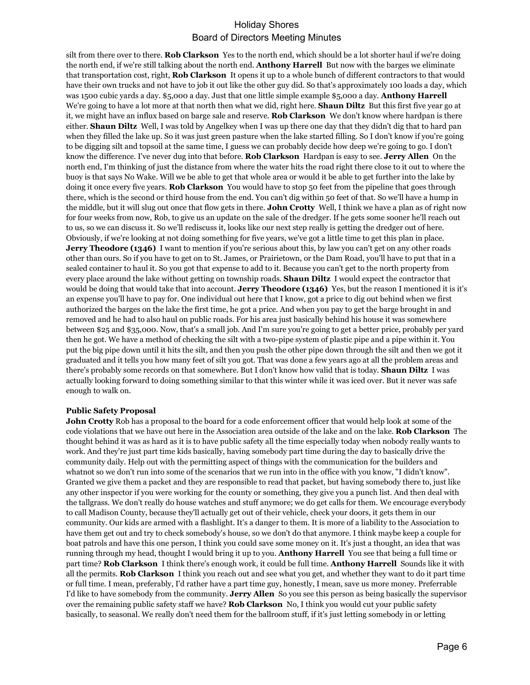silt from there over to there. **Rob Clarkson** Yes to the north end, which should be a lot shorter haul if we're doing the north end, if we're still talking about the north end. **Anthony Harrell** But now with the barges we eliminate that transportation cost, right, **Rob Clarkson** It opens it up to a whole bunch of different contractors to that would have their own trucks and not have to job it out like the other guy did. So that's approximately 100 loads a day, which was 1500 cubic yards a day. \$5,000 a day. Just that one little simple example \$5,000 a day. **Anthony Harrell**  We're going to have a lot more at that north then what we did, right here. **Shaun Diltz** But this first five year go at it, we might have an influx based on barge sale and reserve. **Rob Clarkson** We don't know where hardpan is there either. **Shaun Diltz** Well, I was told by Angelkey when I was up there one day that they didn't dig that to hard pan when they filled the lake up. So it was just green pasture when the lake started filling. So I don't know if you're going to be digging silt and topsoil at the same time, I guess we can probably decide how deep we're going to go. I don't know the difference. I've never dug into that before. **Rob Clarkson** Hardpan is easy to see. **Jerry Allen** On the north end, I'm thinking of just the distance from where the water hits the road right there close to it out to where the buoy is that says No Wake. Will we be able to get that whole area or would it be able to get further into the lake by doing it once every five years. **Rob Clarkson** You would have to stop 50 feet from the pipeline that goes through there, which is the second or third house from the end. You can't dig within 50 feet of that. So we'll have a hump in the middle, but it will slug out once that flow gets in there. **John Crotty** Well, I think we have a plan as of right now for four weeks from now, Rob, to give us an update on the sale of the dredger. If he gets some sooner he'll reach out to us, so we can discuss it. So we'll rediscuss it, looks like our next step really is getting the dredger out of here. Obviously, if we're looking at not doing something for five years, we've got a little time to get this plan in place. **Jerry Theodore (1346)** I want to mention if you're serious about this, by law you can't get on any other roads other than ours. So if you have to get on to St. James, or Prairietown, or the Dam Road, you'll have to put that in a sealed container to haul it. So you got that expense to add to it. Because you can't get to the north property from every place around the lake without getting on township roads. **Shaun Diltz** I would expect the contractor that would be doing that would take that into account. **Jerry Theodore (1346)** Yes, but the reason I mentioned it is it's an expense you'll have to pay for. One individual out here that I know, got a price to dig out behind when we first authorized the barges on the lake the first time, he got a price. And when you pay to get the barge brought in and removed and he had to also haul on public roads. For his area just basically behind his house it was somewhere between \$25 and \$35,000. Now, that's a small job. And I'm sure you're going to get a better price, probably per yard then he got. We have a method of checking the silt with a two-pipe system of plastic pipe and a pipe within it. You put the big pipe down until it hits the silt, and then you push the other pipe down through the silt and then we got it graduated and it tells you how many feet of silt you got. That was done a few years ago at all the problem areas and there's probably some records on that somewhere. But I don't know how valid that is today. **Shaun Diltz** I was actually looking forward to doing something similar to that this winter while it was iced over. But it never was safe enough to walk on.

#### **Public Safety Proposal**

**John Crotty** Rob has a proposal to the board for a code enforcement officer that would help look at some of the code violations that we have out here in the Association area outside of the lake and on the lake. **Rob Clarkson** The thought behind it was as hard as it is to have public safety all the time especially today when nobody really wants to work. And they're just part time kids basically, having somebody part time during the day to basically drive the community daily. Help out with the permitting aspect of things with the communication for the builders and whatnot so we don't run into some of the scenarios that we run into in the office with you know, "I didn't know". Granted we give them a packet and they are responsible to read that packet, but having somebody there to, just like any other inspector if you were working for the county or something, they give you a punch list. And then deal with the tallgrass. We don't really do house watches and stuff anymore; we do get calls for them. We encourage everybody to call Madison County, because they'll actually get out of their vehicle, check your doors, it gets them in our community. Our kids are armed with a flashlight. It's a danger to them. It is more of a liability to the Association to have them get out and try to check somebody's house, so we don't do that anymore. I think maybe keep a couple for boat patrols and have this one person, I think you could save some money on it. It's just a thought, an idea that was running through my head, thought I would bring it up to you. **Anthony Harrell** You see that being a full time or part time? **Rob Clarkson** I think there's enough work, it could be full time. **Anthony Harrell** Sounds like it with all the permits. **Rob Clarkson** I think you reach out and see what you get, and whether they want to do it part time or full time. I mean, preferably, I'd rather have a part time guy, honestly, I mean, save us more money. Preferrable I'd like to have somebody from the community. **Jerry Allen** So you see this person as being basically the supervisor over the remaining public safety staff we have? **Rob Clarkson** No, I think you would cut your public safety basically, to seasonal. We really don't need them for the ballroom stuff, if it's just letting somebody in or letting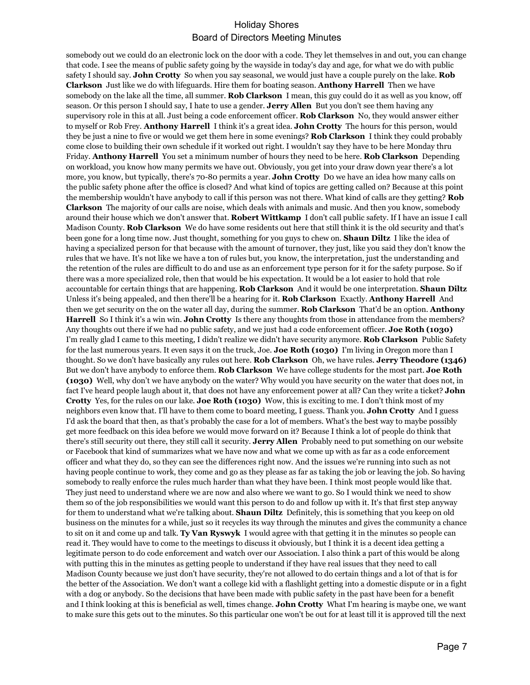somebody out we could do an electronic lock on the door with a code. They let themselves in and out, you can change that code. I see the means of public safety going by the wayside in today's day and age, for what we do with public safety I should say. **John Crotty** So when you say seasonal, we would just have a couple purely on the lake. **Rob Clarkson** Just like we do with lifeguards. Hire them for boating season. **Anthony Harrell** Then we have somebody on the lake all the time, all summer. **Rob Clarkson** I mean, this guy could do it as well as you know, off season. Or this person I should say, I hate to use a gender. **Jerry Allen** But you don't see them having any supervisory role in this at all. Just being a code enforcement officer. **Rob Clarkson** No, they would answer either to myself or Rob Frey. **Anthony Harrell** I think it's a great idea. **John Crotty** The hours for this person, would they be just a nine to five or would we get them here in some evenings? **Rob Clarkson** I think they could probably come close to building their own schedule if it worked out right. I wouldn't say they have to be here Monday thru Friday. **Anthony Harrell** You set a minimum number of hours they need to be here. **Rob Clarkson** Depending on workload, you know how many permits we have out. Obviously, you get into your draw down year there's a lot more, you know, but typically, there's 70-80 permits a year. **John Crotty** D0 we have an idea how many calls on the public safety phone after the office is closed? And what kind of topics are getting called on? Because at this point the membership wouldn't have anybody to call if this person was not there. What kind of calls are they getting? **Rob Clarkson** The majority of our calls are noise, which deals with animals and music. And then you know, somebody around their house which we don't answer that. **Robert Wittkamp** I don't call public safety. If I have an issue I call Madison County. **Rob Clarkson** We do have some residents out here that still think it is the old security and that's been gone for a long time now. Just thought, something for you guys to chew on. **Shaun Diltz** I like the idea of having a specialized person for that because with the amount of turnover, they just, like you said they don't know the rules that we have. It's not like we have a ton of rules but, you know, the interpretation, just the understanding and the retention of the rules are difficult to do and use as an enforcement type person for it for the safety purpose. So if there was a more specialized role, then that would be his expectation. It would be a lot easier to hold that role accountable for certain things that are happening. **Rob Clarkson** And it would be one interpretation. **Shaun Diltz**  Unless it's being appealed, and then there'll be a hearing for it. **Rob Clarkson** Exactly. **Anthony Harrell** And then we get security on the on the water all day, during the summer. **Rob Clarkson** That'd be an option. **Anthony Harrell** So I think it's a win win. **John Crotty** Is there any thoughts from those in attendance from the members? Any thoughts out there if we had no public safety, and we just had a code enforcement officer. **Joe Roth (1030)**  I'm really glad I came to this meeting, I didn't realize we didn't have security anymore. **Rob Clarkson** Public Safety for the last numerous years. It even says it on the truck, Joe. **Joe Roth (1030)** I'm living in Oregon more than I thought. So we don't have basically any rules out here. **Rob Clarkson** Oh, we have rules. **Jerry Theodore (1346)**  But we don't have anybody to enforce them. **Rob Clarkson** We have college students for the most part. **Joe Roth (1030)** Well, why don't we have anybody on the water? Why would you have security on the water that does not, in fact I've heard people laugh about it, that does not have any enforcement power at all? Can they write a ticket? **John Crotty** Yes, for the rules on our lake. **Joe Roth (1030)** Wow, this is exciting to me. I don't think most of my neighbors even know that. I'll have to them come to board meeting, I guess. Thank you. **John Crotty** And I guess I'd ask the board that then, as that's probably the case for a lot of members. What's the best way to maybe possibly get more feedback on this idea before we would move forward on it? Because I think a lot of people do think that there's still security out there, they still call it security. **Jerry Allen** Probably need to put something on our website or Facebook that kind of summarizes what we have now and what we come up with as far as a code enforcement officer and what they do, so they can see the differences right now. And the issues we're running into such as not having people continue to work, they come and go as they please as far as taking the job or leaving the job. So having somebody to really enforce the rules much harder than what they have been. I think most people would like that. They just need to understand where we are now and also where we want to go. So I would think we need to show them so of the job responsibilities we would want this person to do and follow up with it. It's that first step anyway for them to understand what we're talking about. **Shaun Diltz** Definitely, this is something that you keep on old business on the minutes for a while, just so it recycles its way through the minutes and gives the community a chance to sit on it and come up and talk. **Ty Van Ryswyk** I would agree with that getting it in the minutes so people can read it. They would have to come to the meetings to discuss it obviously, but I think it is a decent idea getting a legitimate person to do code enforcement and watch over our Association. I also think a part of this would be along with putting this in the minutes as getting people to understand if they have real issues that they need to call Madison County because we just don't have security, they're not allowed to do certain things and a lot of that is for the better of the Association. We don't want a college kid with a flashlight getting into a domestic dispute or in a fight with a dog or anybody. So the decisions that have been made with public safety in the past have been for a benefit and I think looking at this is beneficial as well, times change. **John Crotty** What I'm hearing is maybe one, we want to make sure this gets out to the minutes. So this particular one won't be out for at least till it is approved till the next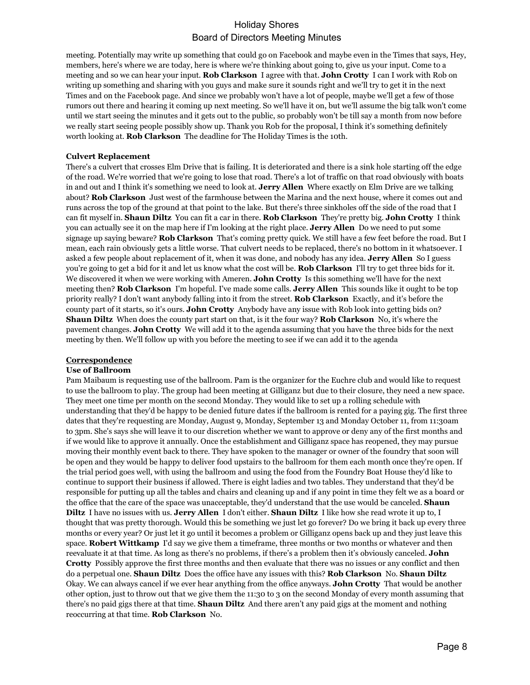meeting. Potentially may write up something that could go on Facebook and maybe even in the Times that says, Hey, members, here's where we are today, here is where we're thinking about going to, give us your input. Come to a meeting and so we can hear your input. **Rob Clarkson** I agree with that. **John Crotty** I can I work with Rob on writing up something and sharing with you guys and make sure it sounds right and we'll try to get it in the next Times and on the Facebook page. And since we probably won't have a lot of people, maybe we'll get a few of those rumors out there and hearing it coming up next meeting. So we'll have it on, but we'll assume the big talk won't come until we start seeing the minutes and it gets out to the public, so probably won't be till say a month from now before we really start seeing people possibly show up. Thank you Rob for the proposal, I think it's something definitely worth looking at. **Rob Clarkson** The deadline for The Holiday Times is the 10th.

### **Culvert Replacement**

There's a culvert that crosses Elm Drive that is failing. It is deteriorated and there is a sink hole starting off the edge of the road. We're worried that we're going to lose that road. There's a lot of traffic on that road obviously with boats in and out and I think it's something we need to look at. **Jerry Allen** Where exactly on Elm Drive are we talking about? **Rob Clarkson** Just west of the farmhouse between the Marina and the next house, where it comes out and runs across the top of the ground at that point to the lake. But there's three sinkholes off the side of the road that I can fit myself in. **Shaun Diltz** You can fit a car in there. **Rob Clarkson** They're pretty big. **John Crotty** I think you can actually see it on the map here if I'm looking at the right place. **Jerry Allen** Do we need to put some signage up saying beware? **Rob Clarkson** That's coming pretty quick. We still have a few feet before the road. But I mean, each rain obviously gets a little worse. That culvert needs to be replaced, there's no bottom in it whatsoever. I asked a few people about replacement of it, when it was done, and nobody has any idea. **Jerry Allen** So I guess you're going to get a bid for it and let us know what the cost will be. **Rob Clarkson** I'll try to get three bids for it. We discovered it when we were working with Ameren. **John Crotty** Is this something we'll have for the next meeting then? **Rob Clarkson** I'm hopeful. I've made some calls. **Jerry Allen** This sounds like it ought to be top priority really? I don't want anybody falling into it from the street. **Rob Clarkson** Exactly, and it's before the county part of it starts, so it's ours. **John Crotty** Anybody have any issue with Rob look into getting bids on? **Shaun Diltz** When does the county part start on that, is it the four way? **Rob Clarkson** No, it's where the pavement changes. **John Crotty** We will add it to the agenda assuming that you have the three bids for the next meeting by then. We'll follow up with you before the meeting to see if we can add it to the agenda

### **Correspondence**

#### **Use of Ballroom**

Pam Maibaum is requesting use of the ballroom. Pam is the organizer for the Euchre club and would like to request to use the ballroom to play. The group had been meeting at Gilliganz but due to their closure, they need a new space. They meet one time per month on the second Monday. They would like to set up a rolling schedule with understanding that they'd be happy to be denied future dates if the ballroom is rented for a paying gig. The first three dates that they're requesting are Monday, August 9, Monday, September 13 and Monday October 11, from 11:30am to 3pm. She's says she will leave it to our discretion whether we want to approve or deny any of the first months and if we would like to approve it annually. Once the establishment and Gilliganz space has reopened, they may pursue moving their monthly event back to there. They have spoken to the manager or owner of the foundry that soon will be open and they would be happy to deliver food upstairs to the ballroom for them each month once they're open. If the trial period goes well, with using the ballroom and using the food from the Foundry Boat House they'd like to continue to support their business if allowed. There is eight ladies and two tables. They understand that they'd be responsible for putting up all the tables and chairs and cleaning up and if any point in time they felt we as a board or the office that the care of the space was unacceptable, they'd understand that the use would be canceled. **Shaun Diltz** I have no issues with us. **Jerry Allen** I don't either. **Shaun Diltz** I like how she read wrote it up to, I thought that was pretty thorough. Would this be something we just let go forever? Do we bring it back up every three months or every year? Or just let it go until it becomes a problem or Gilliganz opens back up and they just leave this space. **Robert Wittkamp** I'd say we give them a timeframe, three months or two months or whatever and then reevaluate it at that time. As long as there's no problems, if there's a problem then it's obviously canceled. **John Crotty** Possibly approve the first three months and then evaluate that there was no issues or any conflict and then do a perpetual one. **Shaun Diltz** Does the office have any issues with this? **Rob Clarkson** No. **Shaun Diltz**  Okay. We can always cancel if we ever hear anything from the office anyways. **John Crotty** That would be another other option, just to throw out that we give them the 11:30 to 3 on the second Monday of every month assuming that there's no paid gigs there at that time. **Shaun Diltz** And there aren't any paid gigs at the moment and nothing reoccurring at that time. **Rob Clarkson** No.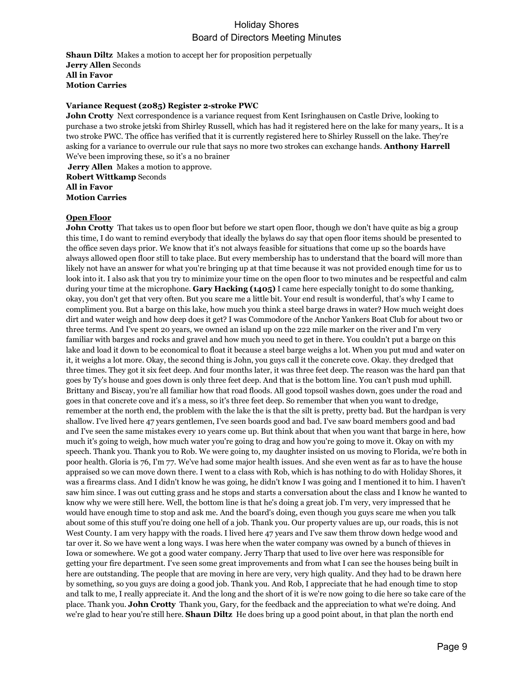**Shaun Diltz** Makes a motion to accept her for proposition perpetually **Jerry Allen** Seconds **All in Favor Motion Carries**

#### **Variance Request (2085) Register 2-stroke PWC**

**John Crotty** Next correspondence is a variance request from Kent Isringhausen on Castle Drive, looking to purchase a two stroke jetski from Shirley Russell, which has had it registered here on the lake for many years,. It is a two stroke PWC. The office has verified that it is currently registered here to Shirley Russell on the lake. They're asking for a variance to overrule our rule that says no more two strokes can exchange hands. **Anthony Harrell**  We've been improving these, so it's a no brainer

**Jerry Allen** Makes a motion to approve. **Robert Wittkamp** Seconds **All in Favor Motion Carries**

#### **Open Floor**

**John Crotty** That takes us to open floor but before we start open floor, though we don't have quite as big a group this time, I do want to remind everybody that ideally the bylaws do say that open floor items should be presented to the office seven days prior. We know that it's not always feasible for situations that come up so the boards have always allowed open floor still to take place. But every membership has to understand that the board will more than likely not have an answer for what you're bringing up at that time because it was not provided enough time for us to look into it. I also ask that you try to minimize your time on the open floor to two minutes and be respectful and calm during your time at the microphone. **Gary Hacking (1405)** I came here especially tonight to do some thanking, okay, you don't get that very often. But you scare me a little bit. Your end result is wonderful, that's why I came to compliment you. But a barge on this lake, how much you think a steel barge draws in water? How much weight does dirt and water weigh and how deep does it get? I was Commodore of the Anchor Yankers Boat Club for about two or three terms. And I've spent 20 years, we owned an island up on the 222 mile marker on the river and I'm very familiar with barges and rocks and gravel and how much you need to get in there. You couldn't put a barge on this lake and load it down to be economical to float it because a steel barge weighs a lot. When you put mud and water on it, it weighs a lot more. Okay, the second thing is John, you guys call it the concrete cove. Okay. they dredged that three times. They got it six feet deep. And four months later, it was three feet deep. The reason was the hard pan that goes by Ty's house and goes down is only three feet deep. And that is the bottom line. You can't push mud uphill. Brittany and Biscay, you're all familiar how that road floods. All good topsoil washes down, goes under the road and goes in that concrete cove and it's a mess, so it's three feet deep. So remember that when you want to dredge, remember at the north end, the problem with the lake the is that the silt is pretty, pretty bad. But the hardpan is very shallow. I've lived here 47 years gentlemen, I've seen boards good and bad. I've saw board members good and bad and I've seen the same mistakes every 10 years come up. But think about that when you want that barge in here, how much it's going to weigh, how much water you're going to drag and how you're going to move it. Okay on with my speech. Thank you. Thank you to Rob. We were going to, my daughter insisted on us moving to Florida, we're both in poor health. Gloria is 76, I'm 77. We've had some major health issues. And she even went as far as to have the house appraised so we can move down there. I went to a class with Rob, which is has nothing to do with Holiday Shores, it was a firearms class. And I didn't know he was going, he didn't know I was going and I mentioned it to him. I haven't saw him since. I was out cutting grass and he stops and starts a conversation about the class and I know he wanted to know why we were still here. Well, the bottom line is that he's doing a great job. I'm very, very impressed that he would have enough time to stop and ask me. And the board's doing, even though you guys scare me when you talk about some of this stuff you're doing one hell of a job. Thank you. Our property values are up, our roads, this is not West County. I am very happy with the roads. I lived here 47 years and I've saw them throw down hedge wood and tar over it. So we have went a long ways. I was here when the water company was owned by a bunch of thieves in Iowa or somewhere. We got a good water company. Jerry Tharp that used to live over here was responsible for getting your fire department. I've seen some great improvements and from what I can see the houses being built in here are outstanding. The people that are moving in here are very, very high quality. And they had to be drawn here by something, so you guys are doing a good job. Thank you. And Rob, I appreciate that he had enough time to stop and talk to me, I really appreciate it. And the long and the short of it is we're now going to die here so take care of the place. Thank you. **John Crotty** Thank you, Gary, for the feedback and the appreciation to what we're doing. And we're glad to hear you're still here. **Shaun Diltz** He does bring up a good point about, in that plan the north end